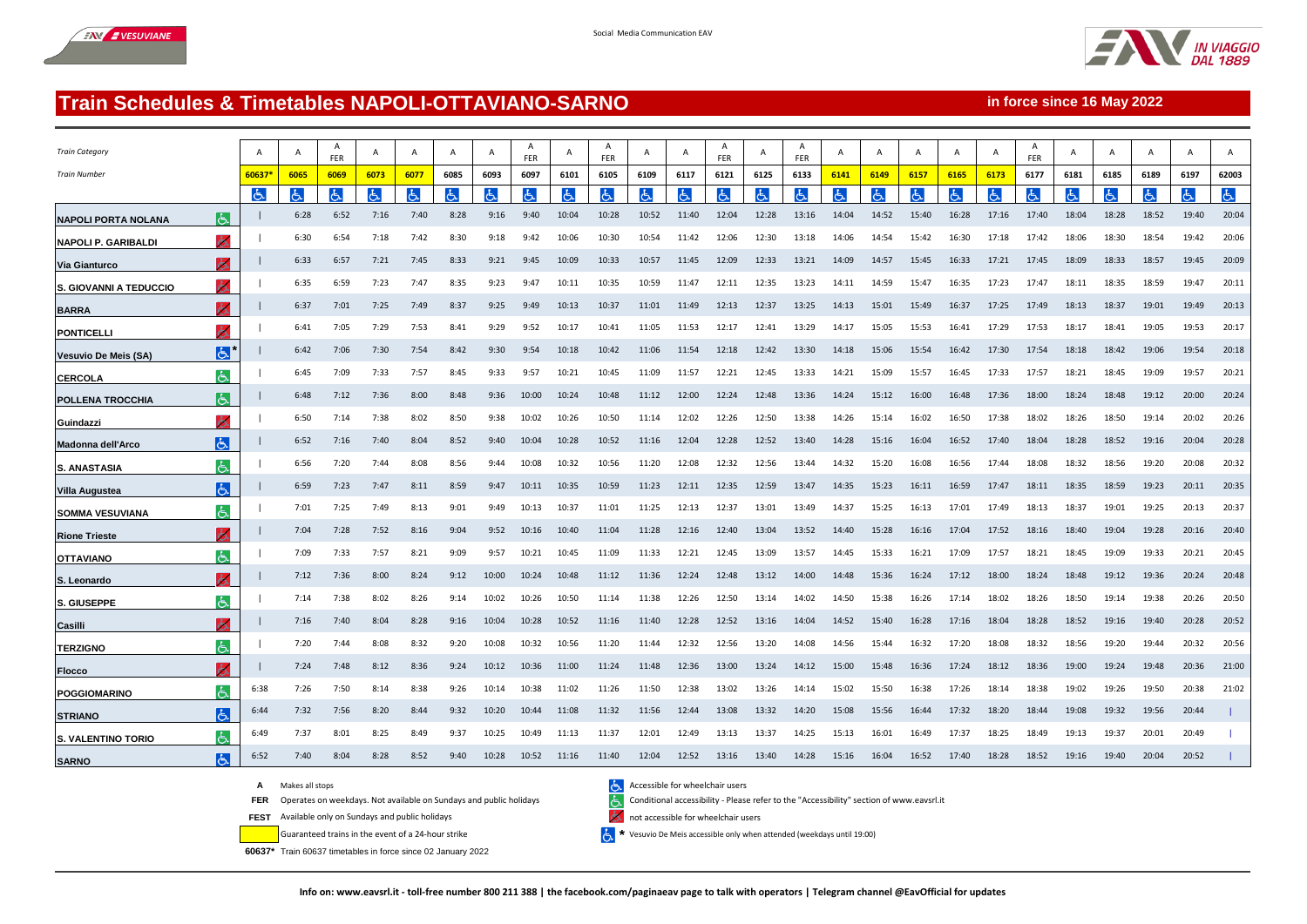



**in force since 16 May 2022**

## **Train Schedules & Timetables NAPOLI-OTTAVIANO-SARNO**

| <b>Train Category</b>         |                | A      | A    | A<br>FER | A    | A    | Α    | A     | <b>FER</b> | A     | A<br>FER | A     | A     | A<br>FER |       | A<br>FER | A     | A     | $\overline{A}$ | A     | A     | A<br>FER |       | A     | A     | $\overline{A}$ | $\overline{A}$ |
|-------------------------------|----------------|--------|------|----------|------|------|------|-------|------------|-------|----------|-------|-------|----------|-------|----------|-------|-------|----------------|-------|-------|----------|-------|-------|-------|----------------|----------------|
| <b>Train Number</b>           |                | 60637* | 6065 | 6069     | 6073 | 6077 | 6085 | 6093  | 6097       | 6101  | 6105     | 6109  | 6117  | 6121     | 6125  | 6133     | 6141  | 6149  | 6157           | 6165  | 6173  | 6177     | 6181  | 6185  | 6189  | 6197           | 62003          |
|                               |                | ۱Ġ     | と    | Ġ        | රු   | ය    | よ    | Ġ.    |            | と     | Ġ        | Ġ.    | ය     | Ġ.       | Ġ.    |          | と     | රු    | Ġ.             | ය     | よ     | Ġ.       |       | ය     | Ġ     | රු             | 占              |
| <b>NAPOLI PORTA NOLANA</b>    | lĠ.            |        | 6:28 | 6:52     | 7:16 | 7:40 | 8:28 | 9:16  | 9:40       | 10:04 | 10:28    | 10:52 | 11:40 | 12:04    | 12:28 | 13:16    | 14:04 | 14:52 | 15:40          | 16:28 | 17:16 | 17:40    | 18:04 | 18:28 | 18:52 | 19:40          | 20:04          |
| <b>NAPOLI P. GARIBALDI</b>    | 人              |        | 6:30 | 6:54     | 7:18 | 7:42 | 8:30 | 9:18  | 9:42       | 10:06 | 10:30    | 10:54 | 11:42 | 12:06    | 12:30 | 13:18    | 14:06 | 14:54 | 15:42          | 16:30 | 17:18 | 17:42    | 18:06 | 18:30 | 18:54 | 19:42          | 20:06          |
| Via Gianturco                 | ሌ              |        | 6:33 | 6:57     | 7:21 | 7:45 | 8:33 | 9:21  | 9:45       | 10:09 | 10:33    | 10:57 | 11:45 | 12:09    | 12:33 | 13:21    | 14:09 | 14:57 | 15:45          | 16:33 | 17:21 | 17:45    | 18:09 | 18:33 | 18:57 | 19:45          | 20:09          |
| <b>S. GIOVANNI A TEDUCCIO</b> | ò.             |        | 6:35 | 6:59     | 7:23 | 7:47 | 8:35 | 9:23  | 9:47       | 10:11 | 10:35    | 10:59 | 11:47 | 12:11    | 12:35 | 13:23    | 14:11 | 14:59 | 15:47          | 16:35 | 17:23 | 17:47    | 18:11 | 18:35 | 18:59 | 19:47          | 20:11          |
| <b>BARRA</b>                  | 人              |        | 6:37 | 7:01     | 7:25 | 7:49 | 8:37 | 9:25  | 9:49       | 10:13 | 10:37    | 11:01 | 11:49 | 12:13    | 12:37 | 13:25    | 14:13 | 15:01 | 15:49          | 16:37 | 17:25 | 17:49    | 18:13 | 18:37 | 19:01 | 19:49          | 20:13          |
| <b>PONTICELLI</b>             | ሔ              |        | 6:41 | 7:05     | 7:29 | 7:53 | 8:41 | 9:29  | 9:52       | 10:17 | 10:41    | 11:05 | 11:53 | 12:17    | 12:41 | 13:29    | 14:17 | 15:05 | 15:53          | 16:41 | 17:29 | 17:53    | 18:17 | 18:41 | 19:05 | 19:53          | 20:17          |
| Vesuvio De Meis (SA)          | $ \mathbf{P} $ |        | 6:42 | 7:06     | 7:30 | 7:54 | 8:42 | 9:30  | 9:54       | 10:18 | 10:42    | 11:06 | 11:54 | 12:18    | 12:42 | 13:30    | 14:18 | 15:06 | 15:54          | 16:42 | 17:30 | 17:54    | 18:18 | 18:42 | 19:06 | 19:54          | 20:18          |
| <b>CERCOLA</b>                | 氐              |        | 6:45 | 7:09     | 7:33 | 7:57 | 8:45 | 9:33  | 9:57       | 10:21 | 10:45    | 11:09 | 11:57 | 12:21    | 12:45 | 13:33    | 14:21 | 15:09 | 15:57          | 16:45 | 17:33 | 17:57    | 18:21 | 18:45 | 19:09 | 19:57          | 20:21          |
| <b>POLLENA TROCCHIA</b>       | الحا           |        | 6:48 | 7:12     | 7:36 | 8:00 | 8:48 | 9:36  | 10:00      | 10:24 | 10:48    | 11:12 | 12:00 | 12:24    | 12:48 | 13:36    | 14:24 | 15:12 | 16:00          | 16:48 | 17:36 | 18:00    | 18:24 | 18:48 | 19:12 | 20:00          | 20:24          |
| Guindazzi                     | d.             |        | 6:50 | 7:14     | 7:38 | 8:02 | 8:50 | 9:38  | 10:02      | 10:26 | 10:50    | 11:14 | 12:02 | 12:26    | 12:50 | 13:38    | 14:26 | 15:14 | 16:02          | 16:50 | 17:38 | 18:02    | 18:26 | 18:50 | 19:14 | 20:02          | 20:26          |
| Madonna dell'Arco             | E              |        | 6:52 | 7:16     | 7:40 | 8:04 | 8:52 | 9:40  | 10:04      | 10:28 | 10:52    | 11:16 | 12:04 | 12:28    | 12:52 | 13:40    | 14:28 | 15:16 | 16:04          | 16:52 | 17:40 | 18:04    | 18:28 | 18:52 | 19:16 | 20:04          | 20:28          |
| <b>S. ANASTASIA</b>           | よ              |        | 6:56 | 7:20     | 7:44 | 8:08 | 8:56 | 9:44  | 10:08      | 10:32 | 10:56    | 11:20 | 12:08 | 12:32    | 12:56 | 13:44    | 14:32 | 15:20 | 16:08          | 16:56 | 17:44 | 18:08    | 18:32 | 18:56 | 19:20 | 20:08          | 20:32          |
| <b>Villa Augustea</b>         | $ \mathbf{P} $ |        | 6:59 | 7:23     | 7:47 | 8:11 | 8:59 | 9:47  | 10:11      | 10:35 | 10:59    | 11:23 | 12:11 | 12:35    | 12:59 | 13:47    | 14:35 | 15:23 | 16:11          | 16:59 | 17:47 | 18:11    | 18:35 | 18:59 | 19:23 | 20:11          | 20:35          |
| <b>SOMMA VESUVIANA</b>        | c              |        | 7:01 | 7:25     | 7:49 | 8:13 | 9:01 | 9:49  | 10:13      | 10:37 | 11:01    | 11:25 | 12:13 | 12:37    | 13:01 | 13:49    | 14:37 | 15:25 | 16:13          | 17:01 | 17:49 | 18:13    | 18:37 | 19:01 | 19:25 | 20:13          | 20:37          |
| <b>Rione Trieste</b>          | Ж.             |        | 7:04 | 7:28     | 7:52 | 8:16 | 9:04 | 9:52  | 10:16      | 10:40 | 11:04    | 11:28 | 12:16 | 12:40    | 13:04 | 13:52    | 14:40 | 15:28 | 16:16          | 17:04 | 17:52 | 18:16    | 18:40 | 19:04 | 19:28 | 20:16          | 20:40          |
| <b>OTTAVIANO</b>              | よ              |        | 7:09 | 7:33     | 7:57 | 8:21 | 9:09 | 9:57  | 10:21      | 10:45 | 11:09    | 11:33 | 12:21 | 12:45    | 13:09 | 13:57    | 14:45 | 15:33 | 16:21          | 17:09 | 17:57 | 18:21    | 18:45 | 19:09 | 19:33 | 20:21          | 20:45          |
| S. Leonardo                   | ሔ              |        | 7:12 | 7:36     | 8:00 | 8:24 | 9:12 | 10:00 | 10:24      | 10:48 | 11:12    | 11:36 | 12:24 | 12:48    | 13:12 | 14:00    | 14:48 | 15:36 | 16:24          | 17:12 | 18:00 | 18:24    | 18:48 | 19:12 | 19:36 | 20:24          | 20:48          |
| S. GIUSEPPE                   | しょ             |        | 7:14 | 7:38     | 8:02 | 8:26 | 9:14 | 10:02 | 10:26      | 10:50 | 11:14    | 11:38 | 12:26 | 12:50    | 13:14 | 14:02    | 14:50 | 15:38 | 16:26          | 17:14 | 18:02 | 18:26    | 18:50 | 19:14 | 19:38 | 20:26          | 20:50          |
| Casilli                       | ሌ              |        | 7:16 | 7:40     | 8:04 | 8:28 | 9:16 | 10:04 | 10:28      | 10:52 | 11:16    | 11:40 | 12:28 | 12:52    | 13:16 | 14:04    | 14:52 | 15:40 | 16:28          | 17:16 | 18:04 | 18:28    | 18:52 | 19:16 | 19:40 | 20:28          | 20:52          |
| <b>TERZIGNO</b>               | ર્તિન          |        | 7:20 | 7:44     | 8:08 | 8:32 | 9:20 | 10:08 | 10:32      | 10:56 | 11:20    | 11:44 | 12:32 | 12:56    | 13:20 | 14:08    | 14:56 | 15:44 | 16:32          | 17:20 | 18:08 | 18:32    | 18:56 | 19:20 | 19:44 | 20:32          | 20:56          |
| <b>Flocco</b>                 |                |        | 7:24 | 7:48     | 8:12 | 8:36 | 9:24 | 10:12 | 10:36      | 11:00 | 11:24    | 11:48 | 12:36 | 13:00    | 13:24 | 14:12    | 15:00 | 15:48 | 16:36          | 17:24 | 18:12 | 18:36    | 19:00 | 19:24 | 19:48 | 20:36          | 21:00          |
| POGGIOMARINO                  | よ              | 6:38   | 7:26 | 7:50     | 8:14 | 8:38 | 9:26 | 10:14 | 10:38      | 11:02 | 11:26    | 11:50 | 12:38 | 13:02    | 13:26 | 14:14    | 15:02 | 15:50 | 16:38          | 17:26 | 18:14 | 18:38    | 19:02 | 19:26 | 19:50 | 20:38          | 21:02          |
| <b>STRIANO</b>                | lط.            | 6:44   | 7:32 | 7:56     | 8:20 | 8:44 | 9:32 | 10:20 | 10:44      | 11:08 | 11:32    | 11:56 | 12:44 | 13:08    | 13:32 | 14:20    | 15:08 | 15:56 | 16:44          | 17:32 | 18:20 | 18:44    | 19:08 | 19:32 | 19:56 | 20:44          |                |
| S. VALENTINO TORIO            | しょ             | 6:49   | 7:37 | 8:01     | 8:25 | 8:49 | 9:37 | 10:25 | 10:49      | 11:13 | 11:37    | 12:01 | 12:49 | 13:13    | 13:37 | 14:25    | 15:13 | 16:01 | 16:49          | 17:37 | 18:25 | 18:49    | 19:13 | 19:37 | 20:01 | 20:49          |                |
| <b>SARNO</b>                  | 占              | 6:52   | 7:40 | 8:04     | 8:28 | 8:52 | 9:40 | 10:28 | 10:52      | 11:16 | 11:40    | 12:04 | 12:52 | 13:16    | 13:40 | 14:28    | 15:16 | 16:04 | 16:52          | 17:40 | 18:28 | 18:52    | 19:16 | 19:40 | 20:04 | 20:52          |                |

A Makes all stops<br>**FER** Operates on weekdays. Not available on Sundays and public holidays<br>Conditional accessibility - Please و Conditional accessibility - Please

**FEST** Available only on Sundays and public holidays **Available for wheelchair users** and public holidays

Guaranteed trains in the event of a 24-hour strike **\***

**60637\*** Train 60637 timetables in force since 02 January 2022

**FER** Operates on weekdays. Not available on Sundays and public holidays Conditional accessibility - Please refer to the "Accessibility" section of www.eavsrl.it

 $\leftarrow$   $\star$  Vesuvio De Meis accessible only when attended (weekdays until 19:00)